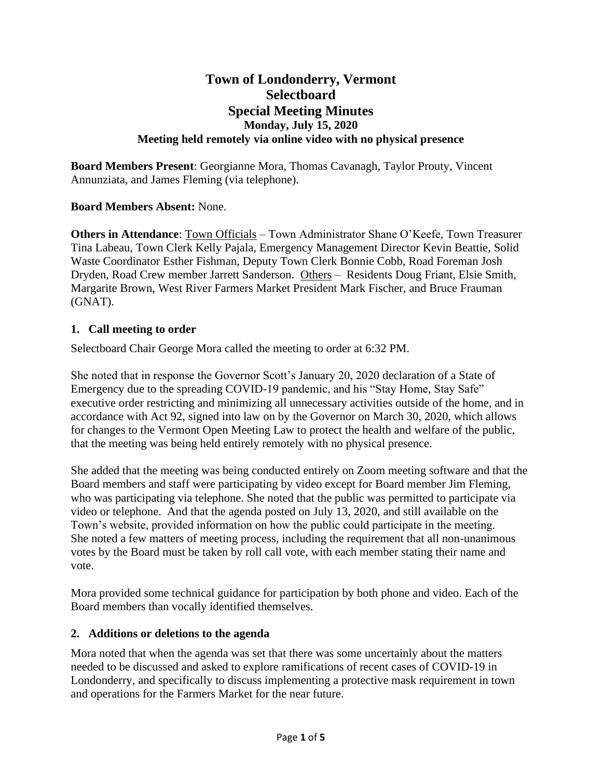# **Town of Londonderry, Vermont Selectboard Special Meeting Minutes Monday, July 15, 2020 Meeting held remotely via online video with no physical presence**

**Board Members Present**: Georgianne Mora, Thomas Cavanagh, Taylor Prouty, Vincent Annunziata, and James Fleming (via telephone).

## **Board Members Absent:** None.

**Others in Attendance**: Town Officials – Town Administrator Shane O'Keefe, Town Treasurer Tina Labeau, Town Clerk Kelly Pajala, Emergency Management Director Kevin Beattie, Solid Waste Coordinator Esther Fishman, Deputy Town Clerk Bonnie Cobb, Road Foreman Josh Dryden, Road Crew member Jarrett Sanderson. Others – Residents Doug Friant, Elsie Smith, Margarite Brown, West River Farmers Market President Mark Fischer, and Bruce Frauman (GNAT).

## **1. Call meeting to order**

Selectboard Chair George Mora called the meeting to order at 6:32 PM.

She noted that in response the Governor Scott's January 20, 2020 declaration of a State of Emergency due to the spreading COVID-19 pandemic, and his "Stay Home, Stay Safe" executive order restricting and minimizing all unnecessary activities outside of the home, and in accordance with Act 92, signed into law on by the Governor on March 30, 2020, which allows for changes to the Vermont Open Meeting Law to protect the health and welfare of the public, that the meeting was being held entirely remotely with no physical presence.

She added that the meeting was being conducted entirely on Zoom meeting software and that the Board members and staff were participating by video except for Board member Jim Fleming, who was participating via telephone. She noted that the public was permitted to participate via video or telephone. And that the agenda posted on July 13, 2020, and still available on the Town's website, provided information on how the public could participate in the meeting. She noted a few matters of meeting process, including the requirement that all non-unanimous votes by the Board must be taken by roll call vote, with each member stating their name and vote.

Mora provided some technical guidance for participation by both phone and video. Each of the Board members than vocally identified themselves.

## **2. Additions or deletions to the agenda**

Mora noted that when the agenda was set that there was some uncertainly about the matters needed to be discussed and asked to explore ramifications of recent cases of COVID-19 in Londonderry, and specifically to discuss implementing a protective mask requirement in town and operations for the Farmers Market for the near future.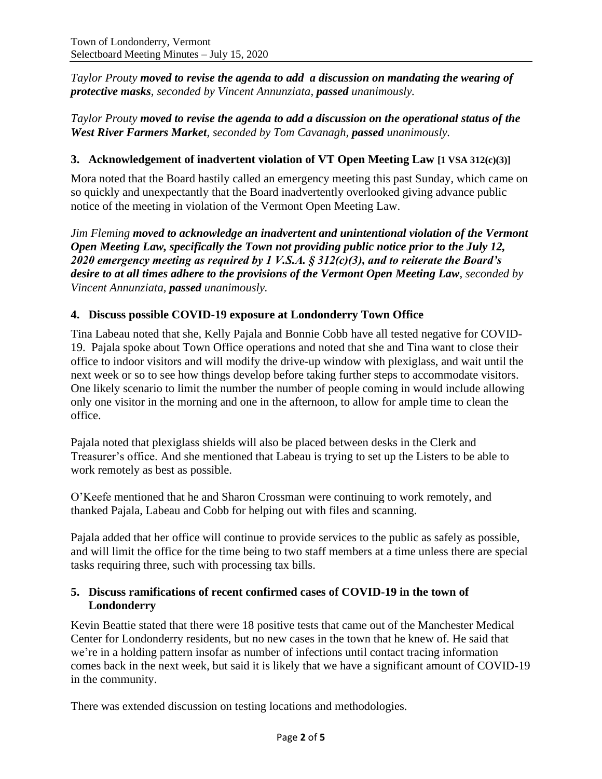*Taylor Prouty moved to revise the agenda to add a discussion on mandating the wearing of protective masks, seconded by Vincent Annunziata, passed unanimously.*

*Taylor Prouty moved to revise the agenda to add a discussion on the operational status of the West River Farmers Market, seconded by Tom Cavanagh, passed unanimously.*

### **3. Acknowledgement of inadvertent violation of VT Open Meeting Law [1 VSA 312(c)(3)]**

Mora noted that the Board hastily called an emergency meeting this past Sunday, which came on so quickly and unexpectantly that the Board inadvertently overlooked giving advance public notice of the meeting in violation of the Vermont Open Meeting Law.

*Jim Fleming moved to acknowledge an inadvertent and unintentional violation of the Vermont Open Meeting Law, specifically the Town not providing public notice prior to the July 12, 2020 emergency meeting as required by 1 V.S.A. § 312(c)(3), and to reiterate the Board's desire to at all times adhere to the provisions of the Vermont Open Meeting Law, seconded by Vincent Annunziata, passed unanimously.*

#### **4. Discuss possible COVID-19 exposure at Londonderry Town Office**

Tina Labeau noted that she, Kelly Pajala and Bonnie Cobb have all tested negative for COVID-19. Pajala spoke about Town Office operations and noted that she and Tina want to close their office to indoor visitors and will modify the drive-up window with plexiglass, and wait until the next week or so to see how things develop before taking further steps to accommodate visitors. One likely scenario to limit the number the number of people coming in would include allowing only one visitor in the morning and one in the afternoon, to allow for ample time to clean the office.

Pajala noted that plexiglass shields will also be placed between desks in the Clerk and Treasurer's office. And she mentioned that Labeau is trying to set up the Listers to be able to work remotely as best as possible.

O'Keefe mentioned that he and Sharon Crossman were continuing to work remotely, and thanked Pajala, Labeau and Cobb for helping out with files and scanning.

Pajala added that her office will continue to provide services to the public as safely as possible, and will limit the office for the time being to two staff members at a time unless there are special tasks requiring three, such with processing tax bills.

#### **5. Discuss ramifications of recent confirmed cases of COVID-19 in the town of Londonderry**

Kevin Beattie stated that there were 18 positive tests that came out of the Manchester Medical Center for Londonderry residents, but no new cases in the town that he knew of. He said that we're in a holding pattern insofar as number of infections until contact tracing information comes back in the next week, but said it is likely that we have a significant amount of COVID-19 in the community.

There was extended discussion on testing locations and methodologies.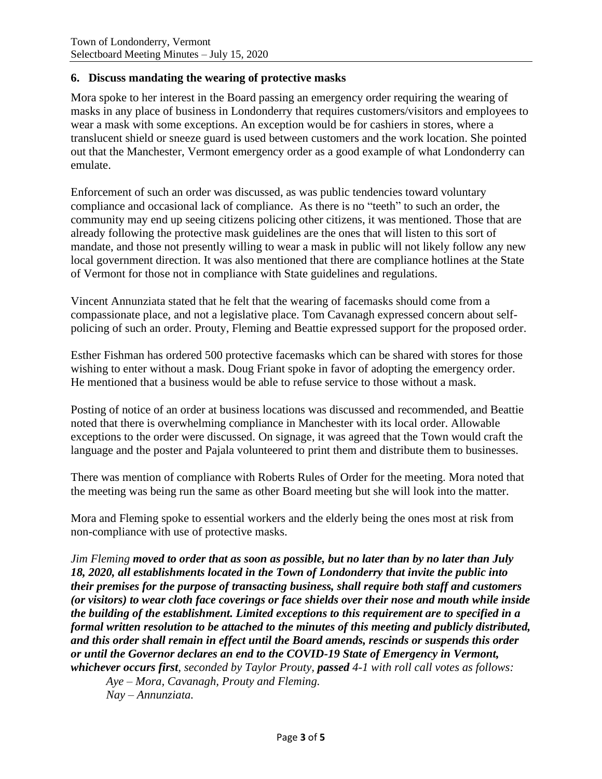#### **6. Discuss mandating the wearing of protective masks**

Mora spoke to her interest in the Board passing an emergency order requiring the wearing of masks in any place of business in Londonderry that requires customers/visitors and employees to wear a mask with some exceptions. An exception would be for cashiers in stores, where a translucent shield or sneeze guard is used between customers and the work location. She pointed out that the Manchester, Vermont emergency order as a good example of what Londonderry can emulate.

Enforcement of such an order was discussed, as was public tendencies toward voluntary compliance and occasional lack of compliance. As there is no "teeth" to such an order, the community may end up seeing citizens policing other citizens, it was mentioned. Those that are already following the protective mask guidelines are the ones that will listen to this sort of mandate, and those not presently willing to wear a mask in public will not likely follow any new local government direction. It was also mentioned that there are compliance hotlines at the State of Vermont for those not in compliance with State guidelines and regulations.

Vincent Annunziata stated that he felt that the wearing of facemasks should come from a compassionate place, and not a legislative place. Tom Cavanagh expressed concern about selfpolicing of such an order. Prouty, Fleming and Beattie expressed support for the proposed order.

Esther Fishman has ordered 500 protective facemasks which can be shared with stores for those wishing to enter without a mask. Doug Friant spoke in favor of adopting the emergency order. He mentioned that a business would be able to refuse service to those without a mask.

Posting of notice of an order at business locations was discussed and recommended, and Beattie noted that there is overwhelming compliance in Manchester with its local order. Allowable exceptions to the order were discussed. On signage, it was agreed that the Town would craft the language and the poster and Pajala volunteered to print them and distribute them to businesses.

There was mention of compliance with Roberts Rules of Order for the meeting. Mora noted that the meeting was being run the same as other Board meeting but she will look into the matter.

Mora and Fleming spoke to essential workers and the elderly being the ones most at risk from non-compliance with use of protective masks.

*Jim Fleming moved to order that as soon as possible, but no later than by no later than July 18, 2020, all establishments located in the Town of Londonderry that invite the public into their premises for the purpose of transacting business, shall require both staff and customers (or visitors) to wear cloth face coverings or face shields over their nose and mouth while inside the building of the establishment. Limited exceptions to this requirement are to specified in a formal written resolution to be attached to the minutes of this meeting and publicly distributed, and this order shall remain in effect until the Board amends, rescinds or suspends this order or until the Governor declares an end to the COVID-19 State of Emergency in Vermont, whichever occurs first, seconded by Taylor Prouty, passed 4-1 with roll call votes as follows:*

*Aye – Mora, Cavanagh, Prouty and Fleming. Nay – Annunziata.*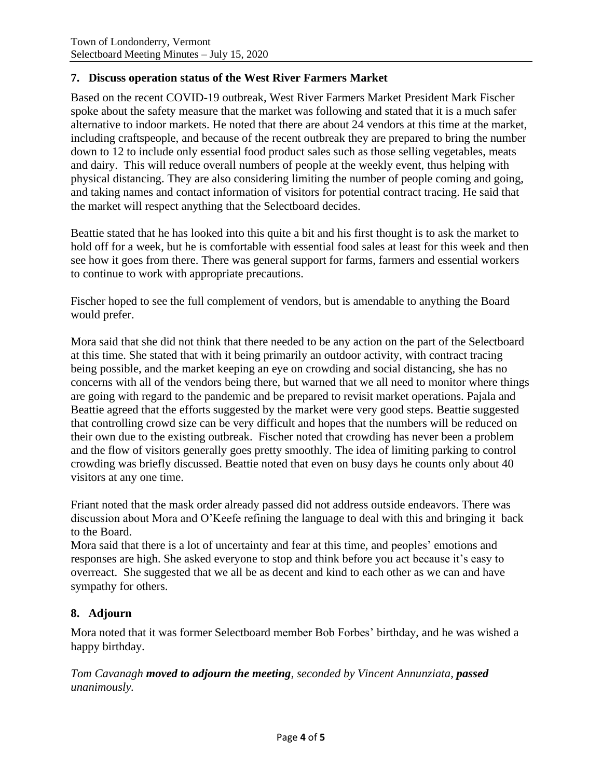## **7. Discuss operation status of the West River Farmers Market**

Based on the recent COVID-19 outbreak, West River Farmers Market President Mark Fischer spoke about the safety measure that the market was following and stated that it is a much safer alternative to indoor markets. He noted that there are about 24 vendors at this time at the market, including craftspeople, and because of the recent outbreak they are prepared to bring the number down to 12 to include only essential food product sales such as those selling vegetables, meats and dairy. This will reduce overall numbers of people at the weekly event, thus helping with physical distancing. They are also considering limiting the number of people coming and going, and taking names and contact information of visitors for potential contract tracing. He said that the market will respect anything that the Selectboard decides.

Beattie stated that he has looked into this quite a bit and his first thought is to ask the market to hold off for a week, but he is comfortable with essential food sales at least for this week and then see how it goes from there. There was general support for farms, farmers and essential workers to continue to work with appropriate precautions.

Fischer hoped to see the full complement of vendors, but is amendable to anything the Board would prefer.

Mora said that she did not think that there needed to be any action on the part of the Selectboard at this time. She stated that with it being primarily an outdoor activity, with contract tracing being possible, and the market keeping an eye on crowding and social distancing, she has no concerns with all of the vendors being there, but warned that we all need to monitor where things are going with regard to the pandemic and be prepared to revisit market operations. Pajala and Beattie agreed that the efforts suggested by the market were very good steps. Beattie suggested that controlling crowd size can be very difficult and hopes that the numbers will be reduced on their own due to the existing outbreak. Fischer noted that crowding has never been a problem and the flow of visitors generally goes pretty smoothly. The idea of limiting parking to control crowding was briefly discussed. Beattie noted that even on busy days he counts only about 40 visitors at any one time.

Friant noted that the mask order already passed did not address outside endeavors. There was discussion about Mora and O'Keefe refining the language to deal with this and bringing it back to the Board.

Mora said that there is a lot of uncertainty and fear at this time, and peoples' emotions and responses are high. She asked everyone to stop and think before you act because it's easy to overreact. She suggested that we all be as decent and kind to each other as we can and have sympathy for others.

## **8. Adjourn**

Mora noted that it was former Selectboard member Bob Forbes' birthday, and he was wished a happy birthday.

*Tom Cavanagh moved to adjourn the meeting, seconded by Vincent Annunziata, passed unanimously.*